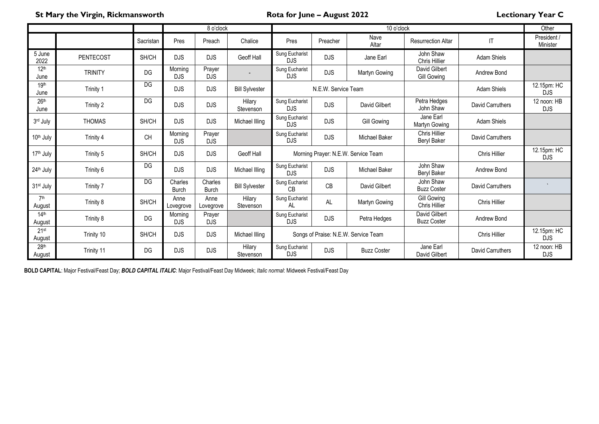**St Mary the Virgin, Rickmansworth Rota for June – August 2022 Lectionary Year C**

| 8 o'clock                  |                  |           |                       |                         | 10 o'clock            |                              |                     |                                      | Other                               |                         |                           |
|----------------------------|------------------|-----------|-----------------------|-------------------------|-----------------------|------------------------------|---------------------|--------------------------------------|-------------------------------------|-------------------------|---------------------------|
|                            |                  | Sacristan | Pres                  | Preach                  | Chalice               | Pres                         | Preacher            | Nave<br>Altar                        | <b>Resurrection Altar</b>           | IT                      | President /<br>Minister   |
| 5 June<br>2022             | <b>PENTECOST</b> | SH/CH     | <b>DJS</b>            | <b>DJS</b>              | Geoff Hall            | Sung Eucharist<br><b>DJS</b> | <b>DJS</b>          | Jane Earl                            | John Shaw<br>Chris Hillier          | <b>Adam Shiels</b>      |                           |
| 12 <sup>th</sup><br>June   | <b>TRINITY</b>   | DG        | Morning<br><b>DJS</b> | Prayer<br><b>DJS</b>    |                       | Sung Eucharist<br><b>DJS</b> | <b>DJS</b>          | Martyn Gowing                        | David Gilbert<br>Gill Gowing        | Andrew Bond             |                           |
| 19th<br>June               | Trinity 1        | <b>DG</b> | <b>DJS</b>            | <b>DJS</b>              | <b>Bill Sylvester</b> |                              | N.E.W. Service Team |                                      |                                     | <b>Adam Shiels</b>      | 12.15pm: HC<br><b>DJS</b> |
| 26 <sup>th</sup><br>June   | Trinity 2        | DG        | <b>DJS</b>            | <b>DJS</b>              | Hilary<br>Stevenson   | Sung Eucharist<br><b>DJS</b> | <b>DJS</b>          | David Gilbert                        | Petra Hedges<br>John Shaw           | David Carruthers        | 12 noon: HB<br><b>DJS</b> |
| 3rd July                   | <b>THOMAS</b>    | SH/CH     | <b>DJS</b>            | <b>DJS</b>              | Michael Illing        | Sung Eucharist<br><b>DJS</b> | <b>DJS</b>          | <b>Gill Gowing</b>                   | Jane Earl<br>Martyn Gowing          | <b>Adam Shiels</b>      |                           |
| 10 <sup>th</sup> July      | Trinity 4        | <b>CH</b> | Morning<br><b>DJS</b> | Prayer<br><b>DJS</b>    |                       | Sung Eucharist<br><b>DJS</b> | <b>DJS</b>          | <b>Michael Baker</b>                 | Chris Hillier<br><b>Beryl Baker</b> | <b>David Carruthers</b> |                           |
| 17 <sup>th</sup> July      | Trinity 5        | SH/CH     | DJS                   | <b>DJS</b>              | Geoff Hall            |                              |                     | Morning Prayer: N.E.W. Service Team  |                                     | Chris Hillier           | 12.15pm: HC<br><b>DJS</b> |
| 24th July                  | Trinity 6        | DG        | <b>DJS</b>            | <b>DJS</b>              | Michael Illing        | Sung Eucharist<br><b>DJS</b> | <b>DJS</b>          | <b>Michael Baker</b>                 | John Shaw<br>Beryl Baker            | Andrew Bond             |                           |
| 31 <sup>st</sup> July      | Trinity 7        | DG        | Charles<br>Burch      | Charles<br><b>Burch</b> | <b>Bill Sylvester</b> | Sung Eucharist<br>CB         | CB                  | David Gilbert                        | John Shaw<br><b>Buzz Coster</b>     | <b>David Carruthers</b> |                           |
| 7th<br>August              | Trinity 8        | SH/CH     | Anne<br>Lovegrove     | Anne<br>Lovegrove       | Hilary<br>Stevenson   | Sung Eucharist<br>AL         | AL                  | Martyn Gowing                        | Gill Gowing<br>Chris Hillier        | Chris Hillier           |                           |
| 14 <sup>th</sup><br>August | Trinity 8        | DG        | Morning<br><b>DJS</b> | Prayer<br><b>DJS</b>    |                       | Sung Eucharist<br><b>DJS</b> | <b>DJS</b>          | Petra Hedges                         | David Gilbert<br><b>Buzz Coster</b> | Andrew Bond             |                           |
| 21st<br>August             | Trinity 10       | SH/CH     | <b>DJS</b>            | <b>DJS</b>              | Michael Illing        |                              |                     | Songs of Praise: N.E.W. Service Team |                                     | <b>Chris Hillier</b>    | 12.15pm: HC<br><b>DJS</b> |
| 28 <sup>th</sup><br>August | Trinity 11       | DG        | <b>DJS</b>            | <b>DJS</b>              | Hilary<br>Stevenson   | Sung Eucharist<br><b>DJS</b> | <b>DJS</b>          | <b>Buzz Coster</b>                   | Jane Earl<br>David Gilbert          | <b>David Carruthers</b> | 12 noon: HB<br><b>DJS</b> |

**BOLD CAPITAL**: Major Festival/Feast Day; *BOLD CAPITAL ITALIC*: Major Festival/Feast Day Midweek; *Italic normal*: Midweek Festival/Feast Day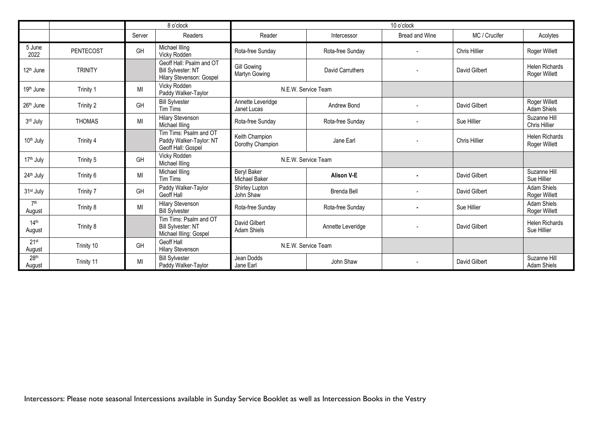|                            |                  | 8 o'clock |                                                                                   | 10 o'clock                          |                     |                          |               |                                        |  |  |
|----------------------------|------------------|-----------|-----------------------------------------------------------------------------------|-------------------------------------|---------------------|--------------------------|---------------|----------------------------------------|--|--|
|                            |                  | Server    | Readers                                                                           | Reader                              | Intercessor         | Bread and Wine           | MC / Crucifer | Acolytes                               |  |  |
| 5 June<br>2022             | <b>PENTECOST</b> | GH        | Michael Illing<br>Vicky Rodden                                                    | Rota-free Sunday                    | Rota-free Sunday    |                          | Chris Hillier | Roger Willett                          |  |  |
| 12 <sup>th</sup> June      | <b>TRINITY</b>   |           | Geoff Hall: Psalm and OT<br><b>Bill Sylvester: NT</b><br>Hilary Stevenson: Gospel | <b>Gill Gowing</b><br>Martyn Gowing | David Carruthers    |                          | David Gilbert | <b>Helen Richards</b><br>Roger Willett |  |  |
| 19 <sup>th</sup> June      | Trinity 1        | MI        | Vicky Rodden<br>Paddy Walker-Taylor                                               |                                     | N.E.W. Service Team |                          |               |                                        |  |  |
| 26th June                  | Trinity 2        | <b>GH</b> | <b>Bill Sylvester</b><br><b>Tim Tims</b>                                          | Annette Leveridge<br>Janet Lucas    | Andrew Bond         |                          | David Gilbert | Roger Willett<br><b>Adam Shiels</b>    |  |  |
| 3rd July                   | <b>THOMAS</b>    | MI        | <b>Hilary Stevenson</b><br>Michael Illing                                         | Rota-free Sunday                    | Rota-free Sunday    |                          | Sue Hillier   | Suzanne Hill<br><b>Chris Hillier</b>   |  |  |
| 10th July                  | Trinity 4        |           | Tim Tims: Psalm and OT<br>Paddy Walker-Taylor: NT<br>Geoff Hall: Gospel           | Keith Champion<br>Dorothy Champion  | Jane Earl           |                          | Chris Hillier | <b>Helen Richards</b><br>Roger Willett |  |  |
| 17 <sup>th</sup> July      | Trinity 5        | GH        | Vicky Rodden<br>Michael Illing                                                    | N.E.W. Service Team                 |                     |                          |               |                                        |  |  |
| 24th July                  | Trinity 6        | MI        | Michael Illing<br><b>Tim Tims</b>                                                 | <b>Beryl Baker</b><br>Michael Baker | <b>Alison V-E</b>   |                          | David Gilbert | Suzanne Hill<br>Sue Hillier            |  |  |
| 31 <sup>st</sup> July      | Trinity 7        | GH        | Paddy Walker-Taylor<br><b>Geoff Hall</b>                                          | Shirley Lupton<br>John Shaw         | <b>Brenda Bell</b>  |                          | David Gilbert | <b>Adam Shiels</b><br>Roger Willett    |  |  |
| 7 <sup>th</sup><br>August  | Trinity 8        | MI        | <b>Hilary Stevenson</b><br><b>Bill Sylvester</b>                                  | Rota-free Sunday                    | Rota-free Sunday    |                          | Sue Hillier   | <b>Adam Shiels</b><br>Roger Willett    |  |  |
| 14 <sup>th</sup><br>August | Trinity 8        |           | Tim Tims: Psalm and OT<br><b>Bill Sylvester: NT</b><br>Michael Illing: Gospel     | David Gilbert<br><b>Adam Shiels</b> | Annette Leveridge   |                          | David Gilbert | <b>Helen Richards</b><br>Sue Hillier   |  |  |
| 21st<br>August             | Trinity 10       | GH        | <b>Geoff Hall</b><br><b>Hilary Stevenson</b>                                      |                                     | N.E.W. Service Team |                          |               |                                        |  |  |
| 28th<br>August             | Trinity 11       | MI        | <b>Bill Sylvester</b><br>Paddy Walker-Taylor                                      | Jean Dodds<br>Jane Earl             | John Shaw           | $\overline{\phantom{a}}$ | David Gilbert | Suzanne Hill<br><b>Adam Shiels</b>     |  |  |